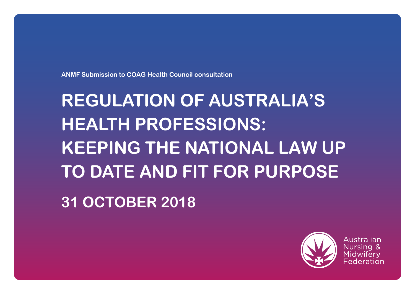**ANMF Submission to COAG Health Council consultation**

# **REGULATION OF AUSTRALIA'S HEALTH PROFESSIONS: KEEPING THE NATIONAL LAW UP TO DATE AND FIT FOR PURPOSE**

**31 OCTOBER 2018**



Australian Nursing & Midwifery Federation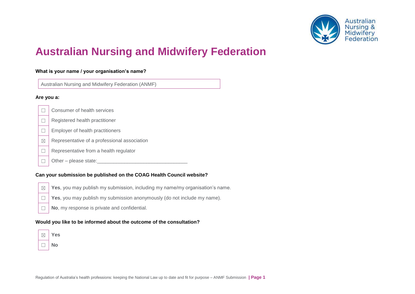

# **Australian Nursing and Midwifery Federation**

#### **What is your name / your organisation's name?**

Australian Nursing and Midwifery Federation (ANMF)

#### **Are you a:**

- □ Consumer of health services
- $\Box$  Registered health practitioner
- □ Employer of health practitioners
- $\boxtimes$  Representative of a professional association
- $\Box$  Representative from a health regulator
- $\Box$  Other please state:

#### **Can your submission be published on the COAG Health Council website?**

- 
- $\boxtimes$  **Yes**, you may publish my submission, including my name/my organisation's name.
	- ☐ **Yes**, you may publish my submission anonymously (do not include my name).
	- ☐ **No**, my response is private and confidential.

#### **Would you like to be informed about the outcome of the consultation?**

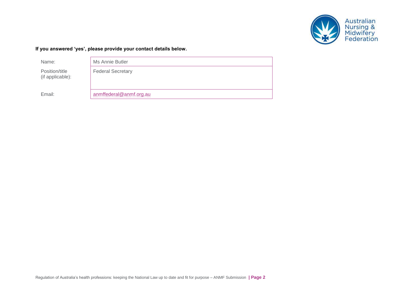

#### **If you answered 'yes', please provide your contact details below.**

Name: Ms Annie Butler

Position/title (if applicable): Federal Secretary

Email: [anmffederal@anmf.org.au](mailto:anmffederal@anmf.org.au)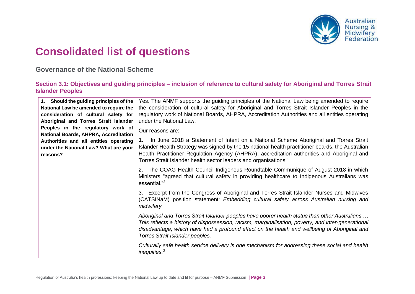

# **Consolidated list of questions**

**Governance of the National Scheme**

**Section 3.1: Objectives and guiding principles – inclusion of reference to cultural safety for Aboriginal and Torres Strait Islander Peoples** 

| 1. Should the guiding principles of the      | Yes. The ANMF supports the guiding principles of the National Law being amended to require         |
|----------------------------------------------|----------------------------------------------------------------------------------------------------|
| National Law be amended to require the       | the consideration of cultural safety for Aboriginal and Torres Strait Islander Peoples in the      |
| consideration of cultural safety for         | regulatory work of National Boards, AHPRA, Accreditation Authorities and all entities operating    |
| Aboriginal and Torres Strait Islander        | under the National Law.                                                                            |
| Peoples in the regulatory work of            | Our reasons are:                                                                                   |
| <b>National Boards, AHPRA, Accreditation</b> |                                                                                                    |
| Authorities and all entities operating       | In June 2018 a Statement of Intent on a National Scheme Aboriginal and Torres Strait               |
| under the National Law? What are your        | Islander Health Strategy was signed by the 15 national health practitioner boards, the Australian  |
| reasons?                                     | Health Practitioner Regulation Agency (AHPRA), accreditation authorities and Aboriginal and        |
|                                              | Torres Strait Islander health sector leaders and organisations. <sup>1</sup>                       |
|                                              |                                                                                                    |
|                                              | 2. The COAG Health Council Indigenous Roundtable Communique of August 2018 in which                |
|                                              | Ministers "agreed that cultural safety in providing healthcare to Indigenous Australians was       |
|                                              | essential." <sup>2</sup>                                                                           |
|                                              | 3. Excerpt from the Congress of Aboriginal and Torres Strait Islander Nurses and Midwives          |
|                                              | (CATSINaM) position statement: Embedding cultural safety across Australian nursing and             |
|                                              | midwifery                                                                                          |
|                                              |                                                                                                    |
|                                              | Aboriginal and Torres Strait Islander peoples have poorer health status than other Australians     |
|                                              | This reflects a history of dispossession, racism, marginalisation, poverty, and inter-generational |
|                                              | disadvantage, which have had a profound effect on the health and wellbeing of Aboriginal and       |
|                                              | Torres Strait Islander peoples.                                                                    |
|                                              | Culturally safe health service delivery is one mechanism for addressing these social and health    |
|                                              | inequities. $3$                                                                                    |
|                                              |                                                                                                    |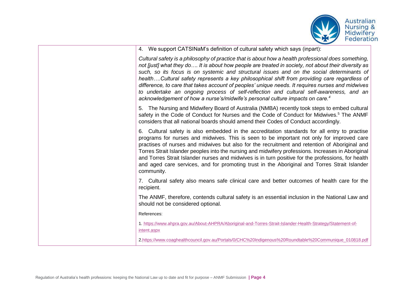

4. We support CATSINaM's definition of cultural safety which says (inpart):

*Cultural safety is a philosophy of practice that is about how a health professional does something, not [just] what they do…. It is about how people are treated in society, not about their diversity as such, so its focus is on systemic and structural issues and on the social determinants of health….Cultural safety represents a key philosophical shift from providing care regardless of difference, to care that takes account of peoples' unique needs. It requires nurses and midwives to undertake an ongoing process of self-reflection and cultural self-awareness, and an acknowledgement of how a nurse's/midwife's personal culture impacts on care.<sup>4</sup>*

5. The Nursing and Midwifery Board of Australia (NMBA) recently took steps to embed cultural safety in the Code of Conduct for Nurses and the Code of Conduct for Midwives.<sup>5</sup> The ANMF considers that all national boards should amend their Codes of Conduct accordingly.

6. Cultural safety is also embedded in the accreditation standards for all entry to practise programs for nurses and midwives. This is seen to be important not only for improved care practises of nurses and midwives but also for the recruitment and retention of Aboriginal and Torres Strait Islander peoples into the nursing and midwifery professions. Increases in Aboriginal and Torres Strait Islander nurses and midwives is in turn positive for the professions, for health and aged care services, and for promoting trust in the Aboriginal and Torres Strait Islander community.

7. Cultural safety also means safe clinical care and better outcomes of health care for the recipient.

The ANMF, therefore, contends cultural safety is an essential inclusion in the National Law and should not be considered optional.

References:

1. [https://www.ahpra.gov.au/About-AHPRA/Aboriginal-and-Torres-Strait-Islander-Health-Strategy/Statement-of](https://www.ahpra.gov.au/About-AHPRA/Aboriginal-and-Torres-Strait-Islander-Health-Strategy/Statement-of-intent.aspx)[intent.aspx](https://www.ahpra.gov.au/About-AHPRA/Aboriginal-and-Torres-Strait-Islander-Health-Strategy/Statement-of-intent.aspx)

[2.https://www.coaghealthcouncil.gov.au/Portals/0/CHC%20Indigenous%20Roundtable%20Communique\\_010818.pdf](https://www.coaghealthcouncil.gov.au/Portals/0/CHC%20Indigenous%20Roundtable%20Communique_010818.pdf)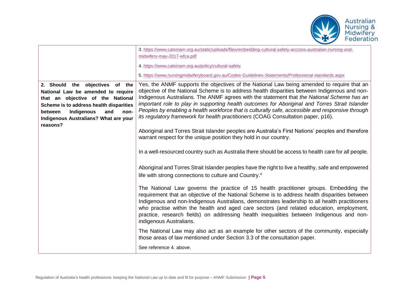

|                                                                                                                                                                                                                                                    | 3. https://www.catsinam.org.au/static/uploads/files/embedding-cultural-safety-accross-australian-nursing-and-<br>midwifery-may-2017-wfca.pdf                                                                                                                                                                                                                                                                                                                                                                                                                                          |
|----------------------------------------------------------------------------------------------------------------------------------------------------------------------------------------------------------------------------------------------------|---------------------------------------------------------------------------------------------------------------------------------------------------------------------------------------------------------------------------------------------------------------------------------------------------------------------------------------------------------------------------------------------------------------------------------------------------------------------------------------------------------------------------------------------------------------------------------------|
|                                                                                                                                                                                                                                                    | 4. https://www.catsinam.org.au/policy/cultural-safety                                                                                                                                                                                                                                                                                                                                                                                                                                                                                                                                 |
|                                                                                                                                                                                                                                                    | 5. https://www.nursingmidwiferyboard.gov.au/Codes-Guidelines-Statements/Professional-standards.aspx                                                                                                                                                                                                                                                                                                                                                                                                                                                                                   |
| 2. Should the objectives of the<br>National Law be amended to require<br>that an objective of the National<br>Scheme is to address health disparities<br>Indigenous<br>and<br>between<br>non-<br>Indigenous Australians? What are your<br>reasons? | Yes, the ANMF supports the objectives of the National Law being amended to require that an<br>objective of the National Scheme is to address health disparities between Indigenous and non-<br>Indigenous Australians. The ANMF agrees with the statement that the National Scheme has an<br>important role to play in supporting health outcomes for Aboriginal and Torres Strait Islander<br>Peoples by enabling a health workforce that is culturally safe, accessible and responsive through<br>its regulatory framework for health practitioners (COAG Consultation paper, p16). |
|                                                                                                                                                                                                                                                    | Aboriginal and Torres Strait Islander peoples are Australia's First Nations' peoples and therefore<br>warrant respect for the unique position they hold in our country.                                                                                                                                                                                                                                                                                                                                                                                                               |
|                                                                                                                                                                                                                                                    | In a well-resourced country such as Australia there should be access to health care for all people.                                                                                                                                                                                                                                                                                                                                                                                                                                                                                   |
|                                                                                                                                                                                                                                                    | Aboriginal and Torres Strait Islander peoples have the right to live a healthy, safe and empowered<br>life with strong connections to culture and Country. <sup>4</sup>                                                                                                                                                                                                                                                                                                                                                                                                               |
|                                                                                                                                                                                                                                                    | The National Law governs the practice of 15 health practitioner groups. Embedding the<br>requirement that an objective of the National Scheme is to address health disparities between<br>Indigenous and non-Indigenous Australians, demonstrates leadership to all health practitioners<br>who practise within the health and aged care sectors (and related education, employment,<br>practice, research fields) on addressing health inequalities between Indigenous and non-<br>indigenous Australians.                                                                           |
|                                                                                                                                                                                                                                                    | The National Law may also act as an example for other sectors of the community, especially<br>those areas of law mentioned under Section 3.3 of the consultation paper.                                                                                                                                                                                                                                                                                                                                                                                                               |
|                                                                                                                                                                                                                                                    | See reference 4. above.                                                                                                                                                                                                                                                                                                                                                                                                                                                                                                                                                               |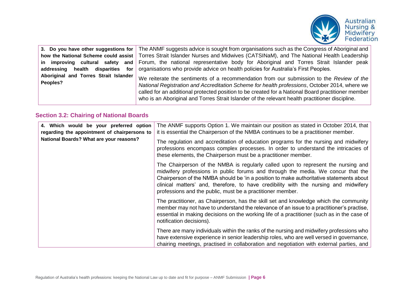

| addressing                                        | 3. Do you have other suggestions for   The ANMF suggests advice is sought from organisations such as the Congress of Aboriginal and<br>how the National Scheme could assist   Torres Strait Islander Nurses and Midwives (CATSINaM), and The National Health Leadership<br>in improving cultural safety and Forum, the national representative body for Aboriginal and Torres Strait Islander peak<br><b>health</b> disparities for   organisations who provide advice on health policies for Australia's First Peoples. |
|---------------------------------------------------|--------------------------------------------------------------------------------------------------------------------------------------------------------------------------------------------------------------------------------------------------------------------------------------------------------------------------------------------------------------------------------------------------------------------------------------------------------------------------------------------------------------------------|
| Aboriginal and Torres Strait Islander<br>Peoples? | We reiterate the sentiments of a recommendation from our submission to the Review of the<br>National Registration and Accreditation Scheme for health professions, October 2014, where we<br>called for an additional protected position to be created for a National Board practitioner member<br>who is an Aboriginal and Torres Strait Islander of the relevant health practitioner discipline.                                                                                                                       |

#### **Section 3.2: Chairing of National Boards**

| 4. Which would be your preferred option<br>regarding the appointment of chairpersons to | The ANMF supports Option 1. We maintain our position as stated in October 2014, that<br>it is essential the Chairperson of the NMBA continues to be a practitioner member.                                                                                                                                                                                                                                             |
|-----------------------------------------------------------------------------------------|------------------------------------------------------------------------------------------------------------------------------------------------------------------------------------------------------------------------------------------------------------------------------------------------------------------------------------------------------------------------------------------------------------------------|
| National Boards? What are your reasons?                                                 | The regulation and accreditation of education programs for the nursing and midwifery<br>professions encompass complex processes. In order to understand the intricacies of<br>these elements, the Chairperson must be a practitioner member.                                                                                                                                                                           |
|                                                                                         | The Chairperson of the NMBA is regularly called upon to represent the nursing and<br>midwifery professions in public forums and through the media. We concur that the<br>Chairperson of the NMBA should be 'in a position to make authoritative statements about<br>clinical matters' and, therefore, to have credibility with the nursing and midwifery<br>professions and the public, must be a practitioner member. |
|                                                                                         | The practitioner, as Chairperson, has the skill set and knowledge which the community<br>member may not have to understand the relevance of an issue to a practitioner's practise,<br>essential in making decisions on the working life of a practitioner (such as in the case of<br>notification decisions).                                                                                                          |
|                                                                                         | There are many individuals within the ranks of the nursing and midwifery professions who<br>have extensive experience in senior leadership roles, who are well versed in governance,<br>chairing meetings, practised in collaboration and negotiation with external parties, and                                                                                                                                       |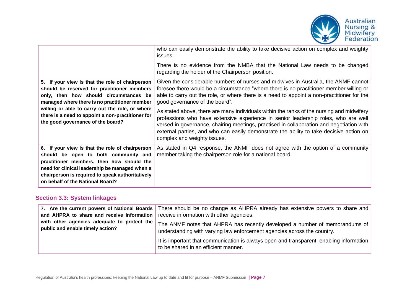

|                                                                                                                                                                                                                                                                                                                                        | who can easily demonstrate the ability to take decisive action on complex and weighty<br>issues.<br>There is no evidence from the NMBA that the National Law needs to be changed<br>regarding the holder of the Chairperson position.                                                                                                                                                                                                                                                                                                                                                                                                                                                                                   |
|----------------------------------------------------------------------------------------------------------------------------------------------------------------------------------------------------------------------------------------------------------------------------------------------------------------------------------------|-------------------------------------------------------------------------------------------------------------------------------------------------------------------------------------------------------------------------------------------------------------------------------------------------------------------------------------------------------------------------------------------------------------------------------------------------------------------------------------------------------------------------------------------------------------------------------------------------------------------------------------------------------------------------------------------------------------------------|
| 5. If your view is that the role of chairperson<br>should be reserved for practitioner members<br>only, then how should circumstances be<br>managed where there is no practitioner member<br>willing or able to carry out the role, or where<br>there is a need to appoint a non-practitioner for<br>the good governance of the board? | Given the considerable numbers of nurses and midwives in Australia, the ANMF cannot<br>foresee there would be a circumstance "where there is no practitioner member willing or<br>able to carry out the role, or where there is a need to appoint a non-practitioner for the<br>good governance of the board".<br>As stated above, there are many individuals within the ranks of the nursing and midwifery<br>professions who have extensive experience in senior leadership roles, who are well<br>versed in governance, chairing meetings, practised in collaboration and negotiation with<br>external parties, and who can easily demonstrate the ability to take decisive action on<br>complex and weighty issues. |
| 6. If your view is that the role of chairperson<br>should be open to both community and<br>practitioner members, then how should the<br>need for clinical leadership be managed when a<br>chairperson is required to speak authoritatively<br>on behalf of the National Board?                                                         | As stated in Q4 response, the ANMF does not agree with the option of a community<br>member taking the chairperson role for a national board.                                                                                                                                                                                                                                                                                                                                                                                                                                                                                                                                                                            |

#### **Section 3.3: System linkages**

| and AHPRA to share and receive information                                      | 7. Are the current powers of National Boards   There should be no change as AHPRA already has extensive powers to share and  <br>receive information with other agencies. |
|---------------------------------------------------------------------------------|---------------------------------------------------------------------------------------------------------------------------------------------------------------------------|
| with other agencies adequate to protect the<br>public and enable timely action? | The ANMF notes that AHPRA has recently developed a number of memorandums of<br>understanding with varying law enforcement agencies across the country.                    |
|                                                                                 | It is important that communication is always open and transparent, enabling information<br>to be shared in an efficient manner.                                           |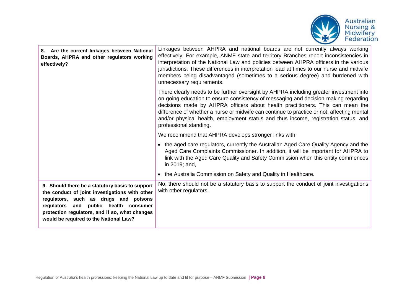

| 8. Are the current linkages between National<br>Boards, AHPRA and other regulators working<br>effectively?                                                                                                                                                                      | Linkages between AHPRA and national boards are not currently always working<br>effectively. For example, ANMF state and territory Branches report inconsistencies in<br>interpretation of the National Law and policies between AHPRA officers in the various<br>jurisdictions. These differences in interpretation lead at times to our nurse and midwife<br>members being disadvantaged (sometimes to a serious degree) and burdened with<br>unnecessary requirements.       |
|---------------------------------------------------------------------------------------------------------------------------------------------------------------------------------------------------------------------------------------------------------------------------------|--------------------------------------------------------------------------------------------------------------------------------------------------------------------------------------------------------------------------------------------------------------------------------------------------------------------------------------------------------------------------------------------------------------------------------------------------------------------------------|
|                                                                                                                                                                                                                                                                                 | There clearly needs to be further oversight by AHPRA including greater investment into<br>on-going education to ensure consistency of messaging and decision-making regarding<br>decisions made by AHPRA officers about health practitioners. This can mean the<br>difference of whether a nurse or midwife can continue to practice or not, affecting mental<br>and/or physical health, employment status and thus income, registration status, and<br>professional standing. |
|                                                                                                                                                                                                                                                                                 | We recommend that AHPRA develops stronger links with:                                                                                                                                                                                                                                                                                                                                                                                                                          |
|                                                                                                                                                                                                                                                                                 | • the aged care regulators, currently the Australian Aged Care Quality Agency and the<br>Aged Care Complaints Commissioner. In addition, it will be important for AHPRA to<br>link with the Aged Care Quality and Safety Commission when this entity commences<br>in 2019; and,                                                                                                                                                                                                |
|                                                                                                                                                                                                                                                                                 | • the Australia Commission on Safety and Quality in Healthcare.                                                                                                                                                                                                                                                                                                                                                                                                                |
| 9. Should there be a statutory basis to support<br>the conduct of joint investigations with other<br>regulators, such as drugs and poisons<br>regulators and public health consumer<br>protection regulators, and if so, what changes<br>would be required to the National Law? | No, there should not be a statutory basis to support the conduct of joint investigations<br>with other regulators.                                                                                                                                                                                                                                                                                                                                                             |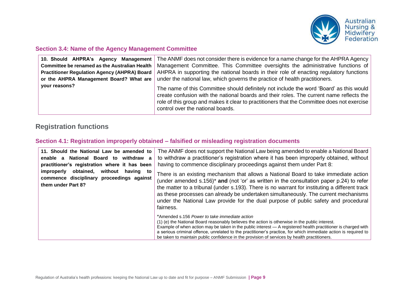

#### **Section 3.4: Name of the Agency Management Committee**

| 10. Should AHPRA's Agency Management                 | The ANMF does not consider there is evidence for a name change for the AHPRA Agency                                                                                                                                                                                                                                     |
|------------------------------------------------------|-------------------------------------------------------------------------------------------------------------------------------------------------------------------------------------------------------------------------------------------------------------------------------------------------------------------------|
| <b>Committee be renamed as the Australian Health</b> | Management Committee. This Committee oversights the administrative functions of                                                                                                                                                                                                                                         |
| <b>Practitioner Regulation Agency (AHPRA) Board</b>  | AHPRA in supporting the national boards in their role of enacting regulatory functions                                                                                                                                                                                                                                  |
| or the AHPRA Management Board? What are              | under the national law, which governs the practice of health practitioners.                                                                                                                                                                                                                                             |
| your reasons?                                        | The name of this Committee should definitely not include the word 'Board' as this would<br>create confusion with the national boards and their roles. The current name reflects the<br>role of this group and makes it clear to practitioners that the Committee does not exercise<br>control over the national boards. |

# **Registration functions**

#### **Section 4.1: Registration improperly obtained – falsified or misleading registration documents**

| 11. Should the National Law be amended to<br>National Board to<br>withdraw<br>enable a<br>a<br>practitioner's registration where it has been<br>without<br>obtained.<br>improperly<br>having to<br>commence disciplinary proceedings against<br>them under Part 8? | The ANMF does not support the National Law being amended to enable a National Board<br>to withdraw a practitioner's registration where it has been improperly obtained, without<br>having to commence disciplinary proceedings against them under Part 8:                                                                                                                                                                                                                                |
|--------------------------------------------------------------------------------------------------------------------------------------------------------------------------------------------------------------------------------------------------------------------|------------------------------------------------------------------------------------------------------------------------------------------------------------------------------------------------------------------------------------------------------------------------------------------------------------------------------------------------------------------------------------------------------------------------------------------------------------------------------------------|
|                                                                                                                                                                                                                                                                    | There is an existing mechanism that allows a National Board to take immediate action<br>(under amended s.156) <sup>*</sup> and (not 'or' as written in the consultation paper p.24) to refer<br>the matter to a tribunal (under s.193). There is no warrant for instituting a different track<br>as these processes can already be undertaken simultaneously. The current mechanisms<br>under the National Law provide for the dual purpose of public safety and procedural<br>fairness. |
|                                                                                                                                                                                                                                                                    | *Amended s.156 Power to take immediate action<br>(1) (e) the National Board reasonably believes the action is otherwise in the public interest.<br>Example of when action may be taken in the public interest - A registered health practitioner is charged with<br>a serious criminal offence, unrelated to the practitioner's practice, for which immediate action is required to<br>be taken to maintain public confidence in the provision of services by health practitioners.      |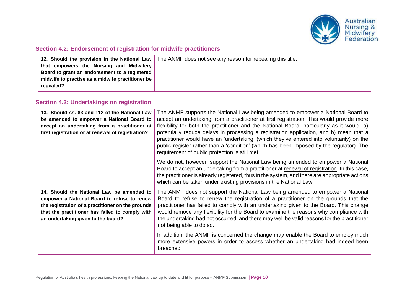

#### **Section 4.2: Endorsement of registration for midwife practitioners**

|                                                  | 12. Should the provision in the National Law   The ANMF does not see any reason for repealing this title. |
|--------------------------------------------------|-----------------------------------------------------------------------------------------------------------|
| that empowers the Nursing and Midwifery          |                                                                                                           |
| Board to grant an endorsement to a registered    |                                                                                                           |
| midwife to practise as a midwife practitioner be |                                                                                                           |
| repealed?                                        |                                                                                                           |
|                                                  |                                                                                                           |

#### **Section 4.3: Undertakings on registration**

| 13. Should ss. 83 and 112 of the National Law<br>be amended to empower a National Board to<br>accept an undertaking from a practitioner at<br>first registration or at renewal of registration?                                        | The ANMF supports the National Law being amended to empower a National Board to<br>accept an undertaking from a practitioner at first registration. This would provide more<br>flexibility for both the practitioner and the National Board, particularly as it would: a)<br>potentially reduce delays in processing a registration application, and b) mean that a<br>practitioner would have an 'undertaking' (which they've entered into voluntarily) on the<br>public register rather than a 'condition' (which has been imposed by the regulator). The<br>requirement of public protection is still met. |
|----------------------------------------------------------------------------------------------------------------------------------------------------------------------------------------------------------------------------------------|---------------------------------------------------------------------------------------------------------------------------------------------------------------------------------------------------------------------------------------------------------------------------------------------------------------------------------------------------------------------------------------------------------------------------------------------------------------------------------------------------------------------------------------------------------------------------------------------------------------|
|                                                                                                                                                                                                                                        | We do not, however, support the National Law being amended to empower a National<br>Board to accept an undertaking from a practitioner at renewal of registration. In this case,<br>the practitioner is already registered, thus in the system, and there are appropriate actions<br>which can be taken under existing provisions in the National Law.                                                                                                                                                                                                                                                        |
| 14. Should the National Law be amended to<br>empower a National Board to refuse to renew<br>the registration of a practitioner on the grounds<br>that the practitioner has failed to comply with<br>an undertaking given to the board? | The ANMF does not support the National Law being amended to empower a National<br>Board to refuse to renew the registration of a practitioner on the grounds that the<br>practitioner has failed to comply with an undertaking given to the Board. This change<br>would remove any flexibility for the Board to examine the reasons why compliance with<br>the undertaking had not occurred, and there may well be valid reasons for the practitioner<br>not being able to do so.                                                                                                                             |
|                                                                                                                                                                                                                                        | In addition, the ANMF is concerned the change may enable the Board to employ much<br>more extensive powers in order to assess whether an undertaking had indeed been<br>breached.                                                                                                                                                                                                                                                                                                                                                                                                                             |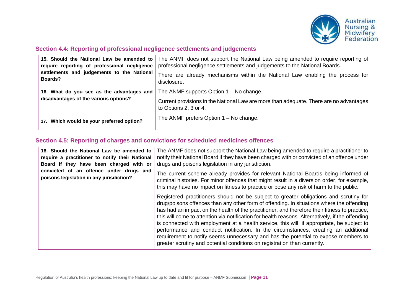

#### **Section 4.4: Reporting of professional negligence settlements and judgements**

| 15. Should the National Law be amended to<br>require reporting of professional negligence<br>settlements and judgements to the National<br>Boards? | The ANMF does not support the National Law being amended to require reporting of<br>professional negligence settlements and judgements to the National Boards.<br>There are already mechanisms within the National Law enabling the process for<br>disclosure. |
|----------------------------------------------------------------------------------------------------------------------------------------------------|----------------------------------------------------------------------------------------------------------------------------------------------------------------------------------------------------------------------------------------------------------------|
| 16. What do you see as the advantages and<br>disadvantages of the various options?                                                                 | The ANMF supports Option $1 - No$ change.<br>Current provisions in the National Law are more than adequate. There are no advantages<br>to Options 2, 3 or 4.                                                                                                   |
| 17. Which would be your preferred option?                                                                                                          | The ANMF prefers Option $1 - No$ change.                                                                                                                                                                                                                       |

#### **Section 4.5: Reporting of charges and convictions for scheduled medicines offences**

| 18. Should the National Law be amended to<br>require a practitioner to notify their National<br>Board if they have been charged with or | The ANMF does not support the National Law being amended to require a practitioner to<br>notify their National Board if they have been charged with or convicted of an offence under<br>drugs and poisons legislation in any jurisdiction.                                                                                                                                                                                                                                                                                                                                                                                                                                                                                                      |
|-----------------------------------------------------------------------------------------------------------------------------------------|-------------------------------------------------------------------------------------------------------------------------------------------------------------------------------------------------------------------------------------------------------------------------------------------------------------------------------------------------------------------------------------------------------------------------------------------------------------------------------------------------------------------------------------------------------------------------------------------------------------------------------------------------------------------------------------------------------------------------------------------------|
| convicted of an offence under drugs and<br>poisons legislation in any jurisdiction?                                                     | The current scheme already provides for relevant National Boards being informed of<br>criminal histories. For minor offences that might result in a diversion order, for example,<br>this may have no impact on fitness to practice or pose any risk of harm to the public.                                                                                                                                                                                                                                                                                                                                                                                                                                                                     |
|                                                                                                                                         | Registered practitioners should not be subject to greater obligations and scrutiny for<br>drug/poisons offences than any other form of offending. In situations where the offending<br>has had an impact on the health of the practitioner, and therefore their fitness to practice,<br>this will come to attention via notification for health reasons. Alternatively, if the offending<br>is connected with employment at a health service, this will, if appropriate, be subject to<br>performance and conduct notification. In the circumstances, creating an additional<br>requirement to notify seems unnecessary and has the potential to expose members to<br>greater scrutiny and potential conditions on registration than currently. |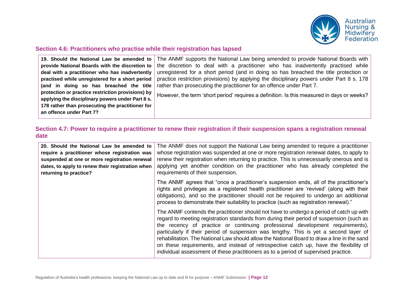

#### **Section 4.6: Practitioners who practise while their registration has lapsed**

| 19. Should the National Law be amended to         | The ANMF supports the National Law being amended to provide National Boards with           |
|---------------------------------------------------|--------------------------------------------------------------------------------------------|
| provide National Boards with the discretion to    | the discretion to deal with a practitioner who has inadvertently practised while           |
| deal with a practitioner who has inadvertently    | unregistered for a short period (and in doing so has breached the title protection or      |
| practised while unregistered for a short period   | practice restriction provisions) by applying the disciplinary powers under Part 8 s. 178   |
| (and in doing so has breached the title           | rather than prosecuting the practitioner for an offence under Part 7.                      |
| protection or practice restriction provisions) by | However, the term 'short period' requires a definition. Is this measured in days or weeks? |
| applying the disciplinary powers under Part 8 s.  |                                                                                            |
| 178 rather than prosecuting the practitioner for  |                                                                                            |
| an offence under Part 7?                          |                                                                                            |

#### **Section 4.7: Power to require a practitioner to renew their registration if their suspension spans a registration renewal date**

| 20. Should the National Law be amended to<br>require a practitioner whose registration was<br>suspended at one or more registration renewal<br>dates, to apply to renew their registration when<br>returning to practice? | The ANMF does not support the National Law being amended to require a practitioner<br>whose registration was suspended at one or more registration renewal dates, to apply to<br>renew their registration when returning to practice. This is unnecessarily onerous and is<br>applying yet another condition on the practitioner who has already completed the<br>requirements of their suspension.                                                                                                                                                                                                                                          |
|---------------------------------------------------------------------------------------------------------------------------------------------------------------------------------------------------------------------------|----------------------------------------------------------------------------------------------------------------------------------------------------------------------------------------------------------------------------------------------------------------------------------------------------------------------------------------------------------------------------------------------------------------------------------------------------------------------------------------------------------------------------------------------------------------------------------------------------------------------------------------------|
|                                                                                                                                                                                                                           | The ANMF agrees that "once a practitioner's suspension ends, all of the practitioner's<br>rights and privileges as a registered health practitioner are 'revived' (along with their<br>obligations), and so the practitioner should not be required to undergo an additional<br>process to demonstrate their suitability to practice (such as registration renewal)."                                                                                                                                                                                                                                                                        |
|                                                                                                                                                                                                                           | The ANMF contends the practitioner should not have to undergo a period of catch up with<br>regard to meeting registration standards from during their period of suspension (such as<br>the recency of practice or continuing professional development requirements),<br>particularly if their period of suspension was lengthy. This is yet a second layer of<br>rehabilitation. The National Law should allow the National Board to draw a line in the sand<br>on these requirements, and instead of retrospective catch up, have the flexibility of<br>individual assessment of these practitioners as to a period of supervised practice. |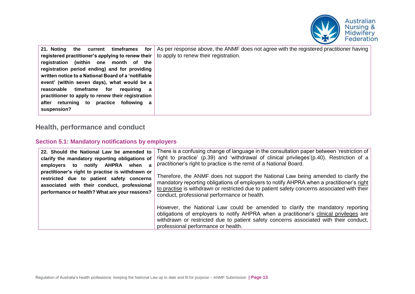

| for<br>timeframes<br>21. Noting<br>the<br>current   | As per response above, the ANMF does not agree with the registered practitioner having |
|-----------------------------------------------------|----------------------------------------------------------------------------------------|
| registered practitioner's applying to renew their   | to apply to renew their registration.                                                  |
| registration (within one<br>the<br>month of         |                                                                                        |
| registration period ending) and for providing       |                                                                                        |
| written notice to a National Board of a 'notifiable |                                                                                        |
| event' (within seven days), what would be a         |                                                                                        |
| timeframe<br>for<br>reasonable<br>reauirina<br>a a  |                                                                                        |
| practitioner to apply to renew their registration   |                                                                                        |
| after returning to practice following a             |                                                                                        |
| suspension?                                         |                                                                                        |
|                                                     |                                                                                        |

# **Health, performance and conduct**

#### **Section 5.1: Mandatory notifications by employers**

| 22. Should the National Law be amended to<br>clarify the mandatory reporting obligations of<br>notify AHPRA<br>employers<br>when<br>to<br>a<br>practitioner's right to practise is withdrawn or<br>restricted due to patient safety concerns<br>associated with their conduct, professional<br>performance or health? What are your reasons? | There is a confusing change of language in the consultation paper between 'restriction of<br>right to practice' (p.39) and 'withdrawal of clinical privileges'(p.40). Restriction of a<br>practitioner's right to practice is the remit of a National Board.<br>Therefore, the ANMF does not support the National Law being amended to clarify the<br>mandatory reporting obligations of employers to notify AHPRA when a practitioner's right<br>to practise is withdrawn or restricted due to patient safety concerns associated with their<br>conduct, professional performance or health. |
|----------------------------------------------------------------------------------------------------------------------------------------------------------------------------------------------------------------------------------------------------------------------------------------------------------------------------------------------|-----------------------------------------------------------------------------------------------------------------------------------------------------------------------------------------------------------------------------------------------------------------------------------------------------------------------------------------------------------------------------------------------------------------------------------------------------------------------------------------------------------------------------------------------------------------------------------------------|
|                                                                                                                                                                                                                                                                                                                                              | However, the National Law could be amended to clarify the mandatory reporting<br>obligations of employers to notify AHPRA when a practitioner's clinical privileges are<br>withdrawn or restricted due to patient safety concerns associated with their conduct,<br>professional performance or health.                                                                                                                                                                                                                                                                                       |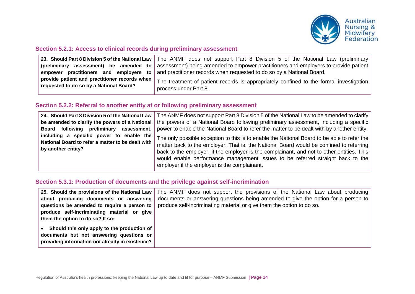

#### **Section 5.2.1: Access to clinical records during preliminary assessment**

|                                                                                          | 23. Should Part 8 Division 5 of the National Law   The ANMF does not support Part 8 Division 5 of the National Law (preliminary |
|------------------------------------------------------------------------------------------|---------------------------------------------------------------------------------------------------------------------------------|
| (preliminary assessment) be amended to                                                   | assessment) being amended to empower practitioners and employers to provide patient $ $                                         |
| empower                                                                                  | <b>practitioners</b> and employers to and practitioner records when requested to do so by a National Board.                     |
| provide patient and practitioner records when<br>requested to do so by a National Board? | The treatment of patient records is appropriately confined to the formal investigation<br>process under Part 8.                 |

#### **Section 5.2.2: Referral to another entity at or following preliminary assessment**

| 24. Should Part 8 Division 5 of the National Law                                                                    | The ANMF does not support Part 8 Division 5 of the National Law to be amended to clarify                                                                                                                                                                                                                                                                                                                              |
|---------------------------------------------------------------------------------------------------------------------|-----------------------------------------------------------------------------------------------------------------------------------------------------------------------------------------------------------------------------------------------------------------------------------------------------------------------------------------------------------------------------------------------------------------------|
| be amended to clarify the powers of a National                                                                      | the powers of a National Board following preliminary assessment, including a specific                                                                                                                                                                                                                                                                                                                                 |
| Board following preliminary assessment,                                                                             | power to enable the National Board to refer the matter to be dealt with by another entity.                                                                                                                                                                                                                                                                                                                            |
| including a specific power to enable the<br>National Board to refer a matter to be dealt with<br>by another entity? | The only possible exception to this is to enable the National Board to be able to refer the<br>matter back to the employer. That is, the National Board would be confined to referring<br>back to the employer, if the employer is the complainant, and not to other entities. This<br>would enable performance management issues to be referred straight back to the<br>employer if the employer is the complainant. |

#### **Section 5.3.1: Production of documents and the privilege against self-incrimination**

|                                                                                                                                            | 25. Should the provisions of the National Law   The ANMF does not support the provisions of the National Law about producing |
|--------------------------------------------------------------------------------------------------------------------------------------------|------------------------------------------------------------------------------------------------------------------------------|
| about producing documents or answering                                                                                                     | documents or answering questions being amended to give the option for a person to                                            |
| questions be amended to require a person to                                                                                                | produce self-incriminating material or give them the option to do so.                                                        |
| produce self-incriminating material or give                                                                                                |                                                                                                                              |
| them the option to do so? If so:                                                                                                           |                                                                                                                              |
| Should this only apply to the production of<br>documents but not answering questions or<br>providing information not already in existence? |                                                                                                                              |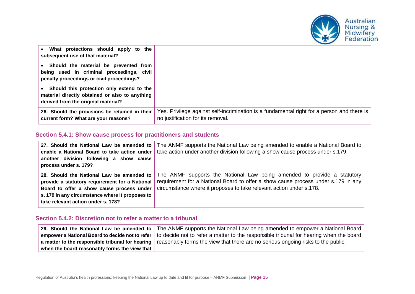

| What protections should apply to the<br>subsequent use of that material?                                                             |                                                                                                                                 |
|--------------------------------------------------------------------------------------------------------------------------------------|---------------------------------------------------------------------------------------------------------------------------------|
| • Should the material be prevented from<br>being used in criminal proceedings, civil<br>penalty proceedings or civil proceedings?    |                                                                                                                                 |
| • Should this protection only extend to the<br>material directly obtained or also to anything<br>derived from the original material? |                                                                                                                                 |
| 26. Should the provisions be retained in their<br>current form? What are your reasons?                                               | Yes. Privilege against self-incrimination is a fundamental right for a person and there is<br>no justification for its removal. |

#### **Section 5.4.1: Show cause process for practitioners and students**

| 27. Should the National Law be amended to<br>enable a National Board to take action under<br>another division following a show cause<br>process under s. 179?                                                                     | The ANMF supports the National Law being amended to enable a National Board to<br>take action under another division following a show cause process under s.179.                                                                    |
|-----------------------------------------------------------------------------------------------------------------------------------------------------------------------------------------------------------------------------------|-------------------------------------------------------------------------------------------------------------------------------------------------------------------------------------------------------------------------------------|
| 28. Should the National Law be amended to<br>provide a statutory requirement for a National<br>Board to offer a show cause process under<br>s. 179 in any circumstance where it proposes to<br>take relevant action under s. 178? | The ANMF supports the National Law being amended to provide a statutory<br>requirement for a National Board to offer a show cause process under s.179 in any<br>circumstance where it proposes to take relevant action under s.178. |

#### **Section 5.4.2: Discretion not to refer a matter to a tribunal**

|                                                   | 29. Should the National Law be amended to $ $ The ANMF supports the National Law being amended to empower a National Board $ $           |
|---------------------------------------------------|------------------------------------------------------------------------------------------------------------------------------------------|
|                                                   | empower a National Board to decide not to refer   to decide not to refer a matter to the responsible tribunal for hearing when the board |
|                                                   | a matter to the responsible tribunal for hearing   reasonably forms the view that there are no serious ongoing risks to the public.      |
| when the board reasonably forms the view that $ $ |                                                                                                                                          |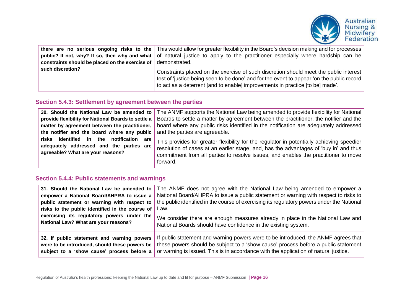

| constraints should be placed on the exercise of $\vert$ demonstrated. | there are no serious ongoing risks to the   This would allow for greater flexibility in the Board's decision making and for processes  <br>public? If not, why? If so, then why and what of natural justice to apply to the practitioner especially where hardship can be |
|-----------------------------------------------------------------------|---------------------------------------------------------------------------------------------------------------------------------------------------------------------------------------------------------------------------------------------------------------------------|
| such discretion?                                                      | Constraints placed on the exercise of such discretion should meet the public interest<br>test of 'justice being seen to be done' and for the event to appear 'on the public record<br>to act as a deterrent [and to enable] improvements in practice [to be] made'.       |

#### **Section 5.4.3: Settlement by agreement between the parties**

| 30. Should the National Law be amended to                                                                                    | The ANMF supports the National Law being amended to provide flexibility for National                                                                                                                                                                                                  |
|------------------------------------------------------------------------------------------------------------------------------|---------------------------------------------------------------------------------------------------------------------------------------------------------------------------------------------------------------------------------------------------------------------------------------|
| provide flexibility for National Boards to settle a                                                                          | Boards to settle a matter by agreement between the practitioner, the notifier and the                                                                                                                                                                                                 |
| matter by agreement between the practitioner,                                                                                | board where any public risks identified in the notification are adequately addressed                                                                                                                                                                                                  |
| the notifier and the board where any public                                                                                  | and the parties are agreeable.                                                                                                                                                                                                                                                        |
| risks identified in the notification<br>are<br>adequately addressed and the parties are<br>agreeable? What are your reasons? | This provides for greater flexibility for the regulator in potentially achieving speedier<br>resolution of cases at an earlier stage, and, has the advantages of 'buy in' and thus<br>commitment from all parties to resolve issues, and enables the practitioner to move<br>forward. |

#### **Section 5.4.4: Public statements and warnings**

| 31. Should the National Law be amended to       | The ANMF does not agree with the National Law being amended to empower a                   |
|-------------------------------------------------|--------------------------------------------------------------------------------------------|
| empower a National Board/AHPRA to issue a       | National Board/AHPRA to issue a public statement or warning with respect to risks to       |
| public statement or warning with respect to     | the public identified in the course of exercising its regulatory powers under the National |
| risks to the public identified in the course of | Law.                                                                                       |
| exercising its regulatory powers under the      | We consider there are enough measures already in place in the National Law and             |
| National Law? What are your reasons?            | National Boards should have confidence in the existing system.                             |
| 32. If public statement and warning powers      | If public statement and warning powers were to be introduced, the ANMF agrees that         |
| were to be introduced, should these powers be   | these powers should be subject to a 'show cause' process before a public statement         |
| subject to a 'show cause' process before a      | or warning is issued. This is in accordance with the application of natural justice.       |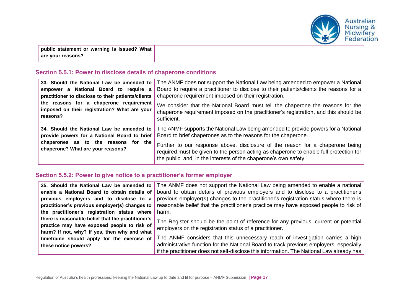

**public statement or warning is issued? What are your reasons?**

#### **Section 5.5.1: Power to disclose details of chaperone conditions**

| 33. Should the National Law be amended to                                                                                                                              | The ANMF does not support the National Law being amended to empower a National                                                                                                                                                                                                                                                                                                                     |
|------------------------------------------------------------------------------------------------------------------------------------------------------------------------|----------------------------------------------------------------------------------------------------------------------------------------------------------------------------------------------------------------------------------------------------------------------------------------------------------------------------------------------------------------------------------------------------|
| empower a National Board to require a                                                                                                                                  | Board to require a practitioner to disclose to their patients/clients the reasons for a                                                                                                                                                                                                                                                                                                            |
| practitioner to disclose to their patients/clients                                                                                                                     | chaperone requirement imposed on their registration.                                                                                                                                                                                                                                                                                                                                               |
| the reasons for a chaperone requirement                                                                                                                                | We consider that the National Board must tell the chaperone the reasons for the                                                                                                                                                                                                                                                                                                                    |
| imposed on their registration? What are your                                                                                                                           | chaperone requirement imposed on the practitioner's registration, and this should be                                                                                                                                                                                                                                                                                                               |
| reasons?                                                                                                                                                               | sufficient.                                                                                                                                                                                                                                                                                                                                                                                        |
| 34. Should the National Law be amended to<br>provide powers for a National Board to brief<br>chaperones as to the reasons for the<br>chaperone? What are your reasons? | The ANMF supports the National Law being amended to provide powers for a National<br>Board to brief chaperones as to the reasons for the chaperone.<br>Further to our response above, disclosure of the reason for a chaperone being<br>required must be given to the person acting as chaperone to enable full protection for<br>the public, and, in the interests of the chaperone's own safety. |

#### **Section 5.5.2: Power to give notice to a practitioner's former employer**

| 35. Should the National Law be amended to          | The ANMF does not support the National Law being amended to enable a national             |
|----------------------------------------------------|-------------------------------------------------------------------------------------------|
| enable a National Board to obtain details of       | board to obtain details of previous employers and to disclose to a practitioner's         |
| previous employers and to disclose to a            | previous employer(s) changes to the practitioner's registration status where there is     |
| practitioner's previous employer(s) changes to     | reasonable belief that the practitioner's practice may have exposed people to risk of     |
| the practitioner's registration status where       | harm.                                                                                     |
| there is reasonable belief that the practitioner's | The Register should be the point of reference for any previous, current or potential      |
| practice may have exposed people to risk of        | employers on the registration status of a practitioner.                                   |
| harm? If not, why? If yes, then why and what       |                                                                                           |
| timeframe should apply for the exercise of         | The ANMF considers that this unnecessary reach of investigation carries a high            |
| these notice powers?                               | administrative function for the National Board to track previous employers, especially    |
|                                                    | if the practitioner does not self-disclose this information. The National Law already has |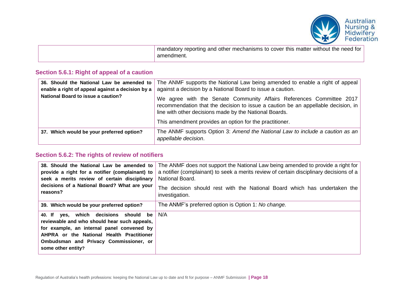

| I mandatory reporting and other mechanisms to cover this matter without the need for<br>amendment. |
|----------------------------------------------------------------------------------------------------|
|                                                                                                    |

#### **Section 5.6.1: Right of appeal of a caution**

| 36. Should the National Law be amended to<br>enable a right of appeal against a decision by a | The ANMF supports the National Law being amended to enable a right of appeal<br>against a decision by a National Board to issue a caution.                                                                                                                                     |
|-----------------------------------------------------------------------------------------------|--------------------------------------------------------------------------------------------------------------------------------------------------------------------------------------------------------------------------------------------------------------------------------|
| <b>National Board to issue a caution?</b>                                                     | We agree with the Senate Community Affairs References Committee 2017<br>recommendation that the decision to issue a caution be an appellable decision, in<br>line with other decisions made by the National Boards.<br>This amendment provides an option for the practitioner. |
| 37. Which would be your preferred option?                                                     | The ANMF supports Option 3: Amend the National Law to include a caution as an<br>appellable decision.                                                                                                                                                                          |

#### **Section 5.6.2: The rights of review of notifiers**

| 38. Should the National Law be amended to<br>provide a right for a notifier (complainant) to<br>seek a merits review of certain disciplinary<br>decisions of a National Board? What are your<br>reasons?                                         | The ANMF does not support the National Law being amended to provide a right for<br>a notifier (complainant) to seek a merits review of certain disciplinary decisions of a<br>National Board.<br>The decision should rest with the National Board which has undertaken the<br>investigation. |
|--------------------------------------------------------------------------------------------------------------------------------------------------------------------------------------------------------------------------------------------------|----------------------------------------------------------------------------------------------------------------------------------------------------------------------------------------------------------------------------------------------------------------------------------------------|
| 39. Which would be your preferred option?                                                                                                                                                                                                        | The ANMF's preferred option is Option 1: No change.                                                                                                                                                                                                                                          |
| 40. If yes, which decisions should be<br>reviewable and who should hear such appeals,<br>for example, an internal panel convened by<br>AHPRA or the National Health Practitioner<br>Ombudsman and Privacy Commissioner, or<br>some other entity? | N/A                                                                                                                                                                                                                                                                                          |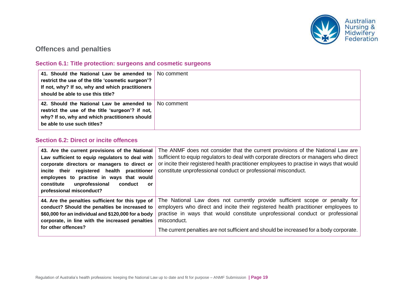

# **Offences and penalties**

#### **Section 6.1: Title protection: surgeons and cosmetic surgeons**

| 41. Should the National Law be amended to No comment<br>restrict the use of the title 'cosmetic surgeon'?<br>If not, why? If so, why and which practitioners<br>should be able to use this title? |  |
|---------------------------------------------------------------------------------------------------------------------------------------------------------------------------------------------------|--|
| 42. Should the National Law be amended to   No comment<br>restrict the use of the title 'surgeon'? if not,<br>why? If so, why and which practitioners should<br>be able to use such titles?       |  |

#### **Section 6.2: Direct or incite offences**

| 43. Are the current provisions of the National<br>Law sufficient to equip regulators to deal with<br>corporate directors or managers to direct or<br>incite their registered health practitioner | The ANMF does not consider that the current provisions of the National Law are<br>sufficient to equip regulators to deal with corporate directors or managers who direct<br>or incite their registered health practitioner employees to practise in ways that would<br>constitute unprofessional conduct or professional misconduct. |
|--------------------------------------------------------------------------------------------------------------------------------------------------------------------------------------------------|--------------------------------------------------------------------------------------------------------------------------------------------------------------------------------------------------------------------------------------------------------------------------------------------------------------------------------------|
| employees to practise in ways that would                                                                                                                                                         |                                                                                                                                                                                                                                                                                                                                      |
| unprofessional<br>constitute<br>conduct<br>or                                                                                                                                                    |                                                                                                                                                                                                                                                                                                                                      |
| professional misconduct?                                                                                                                                                                         |                                                                                                                                                                                                                                                                                                                                      |
| 44. Are the penalties sufficient for this type of                                                                                                                                                | The National Law does not currently provide sufficient scope or penalty for                                                                                                                                                                                                                                                          |
| conduct? Should the penalties be increased to<br>\$60,000 for an individual and \$120,000 for a body                                                                                             | employers who direct and incite their registered health practitioner employees to<br>practise in ways that would constitute unprofessional conduct or professional                                                                                                                                                                   |
| corporate, in line with the increased penalties                                                                                                                                                  | misconduct.                                                                                                                                                                                                                                                                                                                          |
| for other offences?                                                                                                                                                                              |                                                                                                                                                                                                                                                                                                                                      |
|                                                                                                                                                                                                  | The current penalties are not sufficient and should be increased for a body corporate.                                                                                                                                                                                                                                               |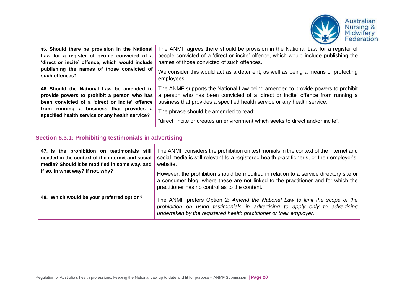

| 45. Should there be provision in the National   | The ANMF agrees there should be provision in the National Law for a register of      |
|-------------------------------------------------|--------------------------------------------------------------------------------------|
| Law for a register of people convicted of a     | people convicted of a 'direct or incite' offence, which would include publishing the |
| 'direct or incite' offence, which would include | names of those convicted of such offences.                                           |
| publishing the names of those convicted of      | We consider this would act as a deterrent, as well as being a means of protecting    |
| such offences?                                  | employees.                                                                           |
| 46. Should the National Law be amended to       | The ANMF supports the National Law being amended to provide powers to prohibit       |
| provide powers to prohibit a person who has     | a person who has been convicted of a 'direct or incite' offence from running a       |
| been convicted of a 'direct or incite' offence  | business that provides a specified health service or any health service.             |
| from running a business that provides a         | The phrase should be amended to read:                                                |
| specified health service or any health service? | "direct, incite or creates an environment which seeks to direct and/or incite".      |

#### **Section 6.3.1: Prohibiting testimonials in advertising**

| 47. Is the prohibition on testimonials still<br>needed in the context of the internet and social<br>media? Should it be modified in some way, and<br>if so, in what way? If not, why? | The ANMF considers the prohibition on testimonials in the context of the internet and<br>social media is still relevant to a registered health practitioner's, or their employer's,<br>website.<br>However, the prohibition should be modified in relation to a service directory site or<br>a consumer blog, where these are not linked to the practitioner and for which the<br>practitioner has no control as to the content. |
|---------------------------------------------------------------------------------------------------------------------------------------------------------------------------------------|----------------------------------------------------------------------------------------------------------------------------------------------------------------------------------------------------------------------------------------------------------------------------------------------------------------------------------------------------------------------------------------------------------------------------------|
| 48. Which would be your preferred option?                                                                                                                                             | The ANMF prefers Option 2: Amend the National Law to limit the scope of the<br>prohibition on using testimonials in advertising to apply only to advertising<br>undertaken by the registered health practitioner or their employer.                                                                                                                                                                                              |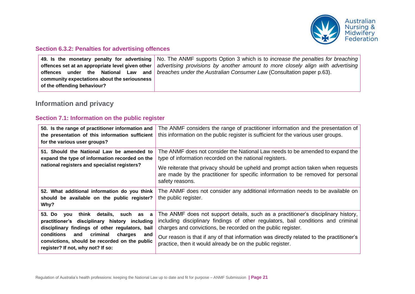

#### **Section 6.3.2: Penalties for advertising offences**

|                                              | 49. Is the monetary penalty for advertising No. The ANMF supports Option 3 which is to <i>increase the penalties for breaching</i> |
|----------------------------------------------|------------------------------------------------------------------------------------------------------------------------------------|
|                                              | offences set at an appropriate level given other advertising provisions by another amount to more closely align with advertising   |
| offences                                     | under the National Law and <i>breaches under the Australian Consumer Law</i> (Consultation paper p.63).                            |
| community expectations about the seriousness |                                                                                                                                    |
| of the offending behaviour?                  |                                                                                                                                    |

# **Information and privacy**

#### **Section 7.1: Information on the public register**

| 50. Is the range of practitioner information and<br>the presentation of this information sufficient<br>for the various user groups?                                                                                                                                                    | The ANMF considers the range of practitioner information and the presentation of<br>this information on the public register is sufficient for the various user groups.                                                                 |
|----------------------------------------------------------------------------------------------------------------------------------------------------------------------------------------------------------------------------------------------------------------------------------------|----------------------------------------------------------------------------------------------------------------------------------------------------------------------------------------------------------------------------------------|
| 51. Should the National Law be amended to<br>expand the type of information recorded on the<br>national registers and specialist registers?                                                                                                                                            | The ANMF does not consider the National Law needs to be amended to expand the<br>type of information recorded on the national registers.                                                                                               |
|                                                                                                                                                                                                                                                                                        | We reiterate that privacy should be upheld and prompt action taken when requests<br>are made by the practitioner for specific information to be removed for personal<br>safety reasons.                                                |
| 52. What additional information do you think<br>should be available on the public register?<br>Why?                                                                                                                                                                                    | The ANMF does not consider any additional information needs to be available on<br>the public register.                                                                                                                                 |
| you think details, such as<br>53. Do<br>a<br>practitioner's disciplinary history including<br>disciplinary findings of other regulators, bail<br>conditions<br>criminal<br>and<br>charges<br>and<br>convictions, should be recorded on the public<br>register? If not, why not? If so: | The ANMF does not support details, such as a practitioner's disciplinary history,<br>including disciplinary findings of other regulators, bail conditions and criminal<br>charges and convictions, be recorded on the public register. |
|                                                                                                                                                                                                                                                                                        | Our reason is that if any of that information was directly related to the practitioner's<br>practice, then it would already be on the public register.                                                                                 |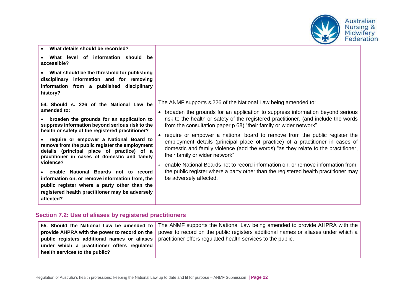

| What details should be recorded?<br>What level of information should be<br>accessible?<br>What should be the threshold for publishing<br>disciplinary information and for removing<br>information from a published disciplinary<br>history?                                                                                                                                                                                                                                                                                                                                                                                   |                                                                                                                                                                                                                                                                                                                                                                                                                                                                                                                                                                                                                                                                                                                                                                                                        |
|-------------------------------------------------------------------------------------------------------------------------------------------------------------------------------------------------------------------------------------------------------------------------------------------------------------------------------------------------------------------------------------------------------------------------------------------------------------------------------------------------------------------------------------------------------------------------------------------------------------------------------|--------------------------------------------------------------------------------------------------------------------------------------------------------------------------------------------------------------------------------------------------------------------------------------------------------------------------------------------------------------------------------------------------------------------------------------------------------------------------------------------------------------------------------------------------------------------------------------------------------------------------------------------------------------------------------------------------------------------------------------------------------------------------------------------------------|
| 54. Should s. 226 of the National Law be<br>amended to:<br>broaden the grounds for an application to<br>suppress information beyond serious risk to the<br>health or safety of the registered practitioner?<br>require or empower a National Board to<br>remove from the public register the employment<br>details (principal place of practice) of a<br>practitioner in cases of domestic and family<br>violence?<br>enable National Boards not to record<br>information on, or remove information from, the<br>public register where a party other than the<br>registered health practitioner may be adversely<br>affected? | The ANMF supports s.226 of the National Law being amended to:<br>broaden the grounds for an application to suppress information beyond serious<br>risk to the health or safety of the registered practitioner, (and include the words<br>from the consultation paper p.68) "their family or wider network"<br>require or empower a national board to remove from the public register the<br>employment details (principal place of practice) of a practitioner in cases of<br>domestic and family violence (add the words) "as they relate to the practitioner,<br>their family or wider network"<br>enable National Boards not to record information on, or remove information from,<br>the public register where a party other than the registered health practitioner may<br>be adversely affected. |

#### **Section 7.2: Use of aliases by registered practitioners**

|                                             | 55. Should the National Law be amended to The ANMF supports the National Law being amended to provide AHPRA with the              |
|---------------------------------------------|-----------------------------------------------------------------------------------------------------------------------------------|
|                                             | provide AHPRA with the power to record on the   power to record on the public registers additional names or aliases under which a |
|                                             | public registers additional names or aliases   practitioner offers regulated health services to the public.                       |
| under which a practitioner offers regulated |                                                                                                                                   |
| health services to the public?              |                                                                                                                                   |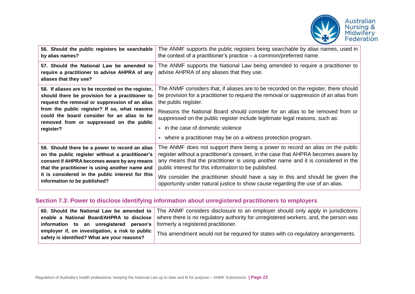

| 56. Should the public registers be searchable<br>by alias names?                                                                                                                                                                                                                                    | The ANMF supports the public registers being searchable by alias names, used in<br>the context of a practitioner's practice $-$ a common/preferred name.                                                                                                                                                           |
|-----------------------------------------------------------------------------------------------------------------------------------------------------------------------------------------------------------------------------------------------------------------------------------------------------|--------------------------------------------------------------------------------------------------------------------------------------------------------------------------------------------------------------------------------------------------------------------------------------------------------------------|
| 57. Should the National Law be amended to<br>require a practitioner to advise AHPRA of any<br>aliases that they use?                                                                                                                                                                                | The ANMF supports the National Law being amended to require a practitioner to<br>advise AHPRA of any aliases that they use.                                                                                                                                                                                        |
| 58. If aliases are to be recorded on the register,<br>should there be provision for a practitioner to<br>request the removal or suppression of an alias<br>from the public register? If so, what reasons<br>could the board consider for an alias to be<br>removed from or suppressed on the public | The ANMF considers that, if aliases are to be recorded on the register, there should<br>be provision for a practitioner to request the removal or suppression of an alias from<br>the public register.                                                                                                             |
|                                                                                                                                                                                                                                                                                                     | Reasons the National Board should consider for an alias to be removed from or<br>suppressed on the public register include legitimate legal reasons, such as:                                                                                                                                                      |
| register?                                                                                                                                                                                                                                                                                           | $\bullet$ in the case of domestic violence                                                                                                                                                                                                                                                                         |
|                                                                                                                                                                                                                                                                                                     | • where a practitioner may be on a witness protection program.                                                                                                                                                                                                                                                     |
| 59. Should there be a power to record an alias<br>on the public register without a practitioner's<br>consent if AHPRA becomes aware by any means<br>that the practitioner is using another name and<br>it is considered in the public interest for this<br>information to be published?             | The ANMF does not support there being a power to record an alias on the public<br>register without a practitioner's consent, in the case that AHPRA becomes aware by<br>any means that the practitioner is using another name and it is considered in the<br>public interest for this information to be published. |
|                                                                                                                                                                                                                                                                                                     | We consider the practitioner should have a say in this and should be given the<br>opportunity under natural justice to show cause regarding the use of an alias.                                                                                                                                                   |

# **Section 7.3: Power to disclose identifying information about unregistered practitioners to employers**

|                                                                                                   | 60. Should the National Law be amended to The ANMF considers disclosure to an employer should only apply in jurisdictions      |
|---------------------------------------------------------------------------------------------------|--------------------------------------------------------------------------------------------------------------------------------|
|                                                                                                   | enable a National Board/AHPRA to disclose where there is no regulatory authority for unregistered workers, and, the person was |
| information to an unregistered person's formerly a registered practitioner.                       |                                                                                                                                |
| employer if, on investigation, a risk to public  <br>safety is identified? What are your reasons? | This amendment would not be required for states with co-regulatory arrangements.                                               |